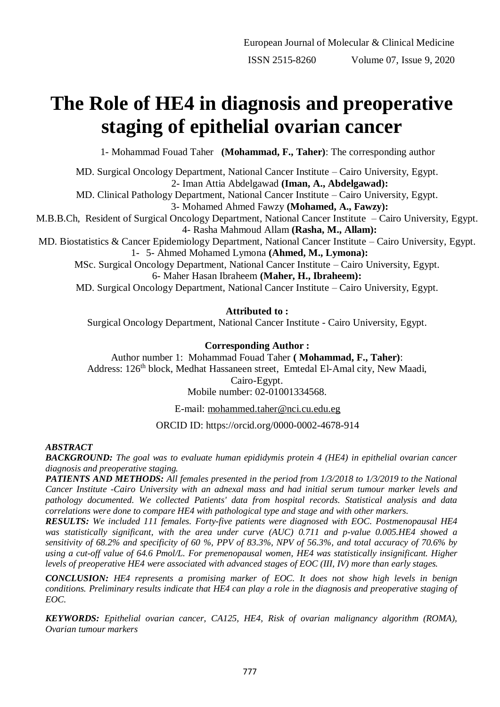# **The Role of HE4 in diagnosis and preoperative staging of epithelial ovarian cancer**

1- Mohammad Fouad Taher **(Mohammad, F., Taher)**: The corresponding author

MD. Surgical Oncology Department, National Cancer Institute – Cairo University, Egypt. 2- Iman Attia Abdelgawad **(Iman, A., Abdelgawad):** MD. Clinical Pathology Department, National Cancer Institute – Cairo University, Egypt. 3- Mohamed Ahmed Fawzy **(Mohamed, A., Fawzy):** M.B.B.Ch, Resident of Surgical Oncology Department, National Cancer Institute – Cairo University, Egypt. 4- Rasha Mahmoud Allam **(Rasha, M., Allam):** MD. Biostatistics & Cancer Epidemiology Department, National Cancer Institute – Cairo University, Egypt. 1- 5- Ahmed Mohamed Lymona **(Ahmed, M., Lymona):** MSc. Surgical Oncology Department, National Cancer Institute – Cairo University, Egypt. 6- Maher Hasan Ibraheem **(Maher, H., Ibraheem):** MD. Surgical Oncology Department, National Cancer Institute – Cairo University, Egypt.

# **Attributed to :**

Surgical Oncology Department, National Cancer Institute - Cairo University, Egypt.

# **Corresponding Author :**

Author number 1: Mohammad Fouad Taher **( Mohammad, F., Taher)**: Address: 126<sup>th</sup> block, Medhat Hassaneen street, Emtedal El-Amal city, New Maadi, Cairo-Egypt.

Mobile number: 02-01001334568.

E-mail: [mohammed.taher@nci.cu.edu.eg](mailto:mohammed.taher@nci.cu.edu.eg)

ORCID ID: https://orcid.org/0000-0002-4678-914

# *ABSTRACT*

*BACKGROUND: The goal was to evaluate human epididymis protein 4 (HE4) in epithelial ovarian cancer diagnosis and preoperative staging.*

*PATIENTS AND METHODS: All females presented in the period from 1/3/2018 to 1/3/2019 to the National Cancer Institute -Cairo University with an adnexal mass and had initial serum tumour marker levels and pathology documented. We collected Patients' data from hospital records. Statistical analysis and data correlations were done to compare HE4 with pathological type and stage and with other markers.*

*RESULTS: We included 111 females. Forty-five patients were diagnosed with EOC. Postmenopausal HE4 was statistically significant, with the area under curve (AUC) 0.711 and p-value 0.005.HE4 showed a sensitivity of 68.2% and specificity of 60 %, PPV of 83.3%, NPV of 56.3%, and total accuracy of 70.6% by using a cut-off value of 64.6 Pmol/L. For premenopausal women, HE4 was statistically insignificant. Higher levels of preoperative HE4 were associated with advanced stages of EOC (III, IV) more than early stages.*

*CONCLUSION: HE4 represents a promising marker of EOC. It does not show high levels in benign conditions. Preliminary results indicate that HE4 can play a role in the diagnosis and preoperative staging of EOC.*

*KEYWORDS: Epithelial ovarian cancer, CA125, HE4, Risk of ovarian malignancy algorithm (ROMA), Ovarian tumour markers*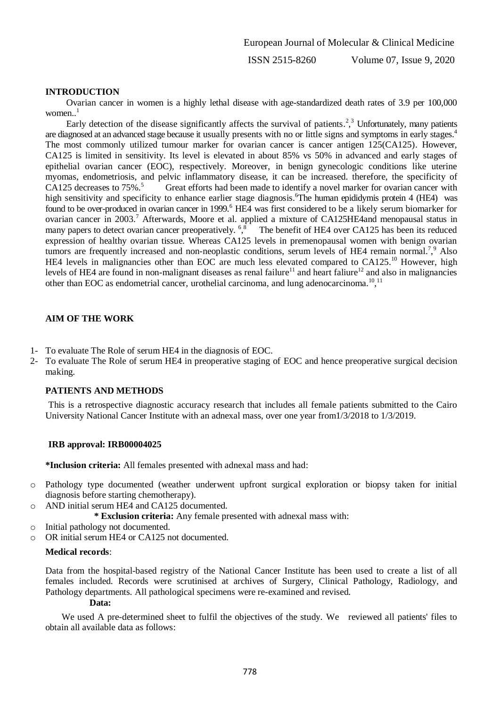#### **INTRODUCTION**

 Ovarian cancer in women is a highly lethal disease with age-standardized death rates of 3.9 per 100,000 women..<sup>1</sup>

Early detection of the disease significantly affects the survival of patients.<sup>2</sup>,<sup>3</sup> Unfortunately, many patients are diagnosed at an advanced stage because it usually presents with no or little signs and symptoms in early stages. 4 The most commonly utilized tumour marker for ovarian cancer is cancer antigen 125(CA125). However, CA125 is limited in sensitivity. Its level is elevated in about 85% vs 50% in advanced and early stages of epithelial ovarian cancer (EOC), respectively. Moreover, in benign gynecologic conditions like uterine myomas, endometriosis, and pelvic inflammatory disease, it can be increased. therefore, the specificity of CA125 decreases to 75%. 5 Great efforts had been made to identify a novel marker for ovarian cancer with high sensitivity and specificity to enhance earlier stage diagnosis. <sup>6</sup>The human epididymis protein 4 (HE4) was found to be over-produced in ovarian cancer in 1999.<sup>6</sup> HE4 was first considered to be a likely serum biomarker for ovarian cancer in 2003.<sup>7</sup> Afterwards, Moore et al. applied a mixture of CA125HE4and menopausal status in many papers to detect ovarian cancer preoperatively. <sup>6,8</sup> The benefit of HE4 over CA125 has been its reduced expression of healthy ovarian tissue. Whereas CA125 levels in premenopausal women with benign ovarian tumors are frequently increased and non-neoplastic conditions, serum levels of HE4 remain normal.<sup>7</sup>,<sup>9</sup> Also HE4 levels in malignancies other than EOC are much less elevated compared to CA125.<sup>10</sup> However, high levels of HE4 are found in non-malignant diseases as renal failure<sup>11</sup> and heart faliure<sup>12</sup> and also in malignancies other than EOC as endometrial cancer, urothelial carcinoma, and lung adenocarcinoma.<sup>10,11</sup>

# **AIM OF THE WORK**

- 1- To evaluate The Role of serum HE4 in the diagnosis of EOC.
- 2- To evaluate The Role of serum HE4 in preoperative staging of EOC and hence preoperative surgical decision making.

#### **PATIENTS AND METHODS**

This is a retrospective diagnostic accuracy research that includes all female patients submitted to the Cairo University National Cancer Institute with an adnexal mass, over one year from1/3/2018 to 1/3/2019.

#### **IRB approval: IRB00004025**

**\*Inclusion criteria:** All females presented with adnexal mass and had:

- o Pathology type documented (weather underwent upfront surgical exploration or biopsy taken for initial diagnosis before starting chemotherapy).
- AND initial serum HE4 and CA125 documented.
	- **\* Exclusion criteria:** Any female presented with adnexal mass with:
- o Initial pathology not documented.
- o OR initial serum HE4 or CA125 not documented.

# **Medical records**:

Data from the hospital-based registry of the National Cancer Institute has been used to create a list of all females included. Records were scrutinised at archives of Surgery, Clinical Pathology, Radiology, and Pathology departments. All pathological specimens were re-examined and revised.

#### **Data:**

 We used A pre-determined sheet to fulfil the objectives of the study. We reviewed all patients' files to obtain all available data as follows: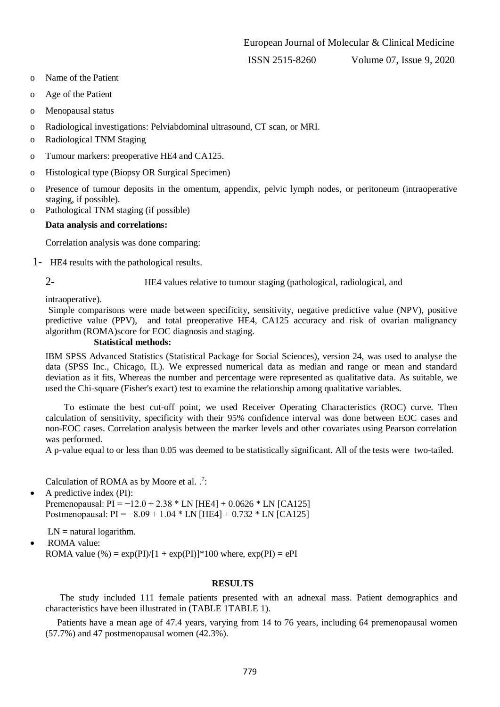ISSN 2515-8260 Volume 07, Issue 9, 2020

- o Name of the Patient
- o Age of the Patient
- o Menopausal status
- o Radiological investigations: Pelviabdominal ultrasound, CT scan, or MRI.
- o Radiological TNM Staging
- o Tumour markers: preoperative HE4 and CA125.
- o Histological type (Biopsy OR Surgical Specimen)
- o Presence of tumour deposits in the omentum, appendix, pelvic lymph nodes, or peritoneum (intraoperative staging, if possible).
- o Pathological TNM staging (if possible)

## **Data analysis and correlations:**

Correlation analysis was done comparing:

1- HE4 results with the pathological results.

2- HE4 values relative to tumour staging (pathological, radiological, and

intraoperative).

Simple comparisons were made between specificity, sensitivity, negative predictive value (NPV), positive predictive value (PPV), and total preoperative HE4, CA125 accuracy and risk of ovarian malignancy algorithm (ROMA)score for EOC diagnosis and staging.

#### **Statistical methods:**

IBM SPSS Advanced Statistics (Statistical Package for Social Sciences), version 24, was used to analyse the data (SPSS Inc., Chicago, IL). We expressed numerical data as median and range or mean and standard deviation as it fits, Whereas the number and percentage were represented as qualitative data. As suitable, we used the Chi-square (Fisher's exact) test to examine the relationship among qualitative variables.

 To estimate the best cut-off point, we used Receiver Operating Characteristics (ROC) curve. Then calculation of sensitivity, specificity with their 95% confidence interval was done between EOC cases and non-EOC cases. Correlation analysis between the marker levels and other covariates using Pearson correlation was performed.

A p-value equal to or less than 0.05 was deemed to be statistically significant. All of the tests were two-tailed.

Calculation of ROMA as by Moore et al.  $\cdot$ .

 $\bullet$  A predictive index (PI): Premenopausal:  $PI = -12.0 + 2.38 * LN$  [HE4] + 0.0626 \* LN [CA125] Postmenopausal: PI = −8.09 + 1.04 \* LN [HE4] + 0.732 \* LN [CA125]

 $LN =$  natural logarithm.

ROMA value:

ROMA value  $%$  = exp(PI)/[1 + exp(PI)]\*100 where, exp(PI) = ePI

#### **RESULTS**

The study included 111 female patients presented with an adnexal mass. Patient demographics and characteristics have been illustrated in [\(TABLE 1TABLE 1\)](#page-3-0).

Patients have a mean age of 47.4 years, varying from 14 to 76 years, including 64 premenopausal women (57.7%) and 47 postmenopausal women (42.3%).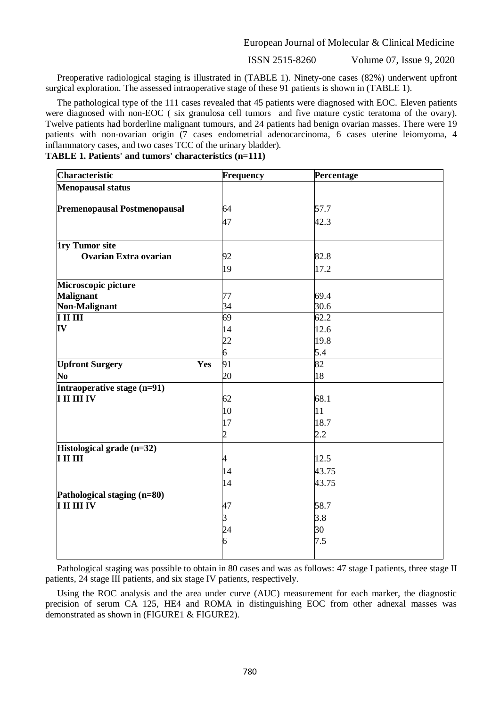ISSN 2515-8260 Volume 07, Issue 9, 2020

Preoperative radiological staging is illustrated in [\(TABLE 1\)](#page-3-0). Ninety-one cases (82%) underwent upfront surgical exploration. The assessed intraoperative stage of these 91 patients is shown in [\(TABLE 1\)](#page-3-0).

The pathological type of the 111 cases revealed that 45 patients were diagnosed with EOC. Eleven patients were diagnosed with non-EOC ( six granulosa cell tumors and five mature cystic teratoma of the ovary). Twelve patients had borderline malignant tumours, and 24 patients had benign ovarian masses. There were 19 patients with non-ovarian origin (7 cases endometrial adenocarcinoma, 6 cases uterine leiomyoma, 4 inflammatory cases, and two cases TCC of the urinary bladder).

## <span id="page-3-0"></span>**TABLE 1. Patients' and tumors' characteristics (n=111)**

| <b>Characteristic</b>         | Frequency      | Percentage |  |
|-------------------------------|----------------|------------|--|
| <b>Menopausal status</b>      |                |            |  |
|                               |                |            |  |
| Premenopausal Postmenopausal  | 64             | 57.7       |  |
|                               | 47             | 42.3       |  |
| <b>1ry Tumor site</b>         |                |            |  |
| <b>Ovarian Extra ovarian</b>  | 92             | 82.8       |  |
|                               | 19             | 17.2       |  |
| Microscopic picture           |                |            |  |
| <b>Malignant</b>              | 77             | 69.4       |  |
| Non-Malignant                 | 34             | 30.6       |  |
| I II III                      | 69             | 62.2       |  |
| IV                            | 14             | 12.6       |  |
|                               | 22             | 19.8       |  |
|                               | $\overline{6}$ | 5.4        |  |
| <b>Upfront Surgery</b><br>Yes | 91             | 82         |  |
| No                            | 20             | 18         |  |
| Intraoperative stage (n=91)   |                |            |  |
| I II III IV                   | 62             | 68.1       |  |
|                               | 10             | 11         |  |
|                               | 17             | 18.7       |  |
|                               | $\overline{2}$ | 2.2        |  |
| Histological grade (n=32)     |                |            |  |
| $\mathbf{I}$ III III          | 4              | 12.5       |  |
|                               | 14             | 43.75      |  |
|                               | 14             | 43.75      |  |
| Pathological staging (n=80)   |                |            |  |
| I II III IV                   | 47             | 58.7       |  |
|                               | $\overline{3}$ | 3.8        |  |
|                               |                | 30         |  |
|                               | 24<br>6        | 7.5        |  |
|                               |                |            |  |
|                               |                |            |  |

Pathological staging was possible to obtain in 80 cases and was as follows: 47 stage I patients, three stage II patients, 24 stage III patients, and six stage IV patients, respectively.

Using the ROC analysis and the area under curve (AUC) measurement for each marker, the diagnostic precision of serum CA 125, HE4 and ROMA in distinguishing EOC from other adnexal masses was demonstrated as shown in [\(FIGURE1](#page-4-0) & [FIGURE2\)](#page-5-0).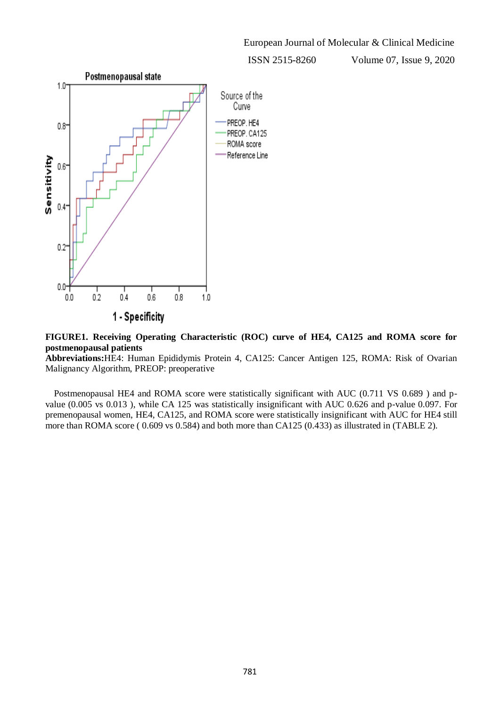ISSN 2515-8260 Volume 07, Issue 9, 2020



<span id="page-4-0"></span>**FIGURE1. Receiving Operating Characteristic (ROC) curve of HE4, CA125 and ROMA score for postmenopausal patients**

**Abbreviations:**HE4: Human Epididymis Protein 4, CA125: Cancer Antigen 125, ROMA: Risk of Ovarian Malignancy Algorithm, PREOP: preoperative

Postmenopausal HE4 and ROMA score were statistically significant with AUC (0.711 VS 0.689 ) and pvalue (0.005 vs 0.013 ), while CA 125 was statistically insignificant with AUC 0.626 and p-value 0.097. For premenopausal women, HE4, CA125, and ROMA score were statistically insignificant with AUC for HE4 still more than ROMA score ( 0.609 vs 0.584) and both more than CA125 (0.433) as illustrated in [\(TABLE 2\)](#page-5-1).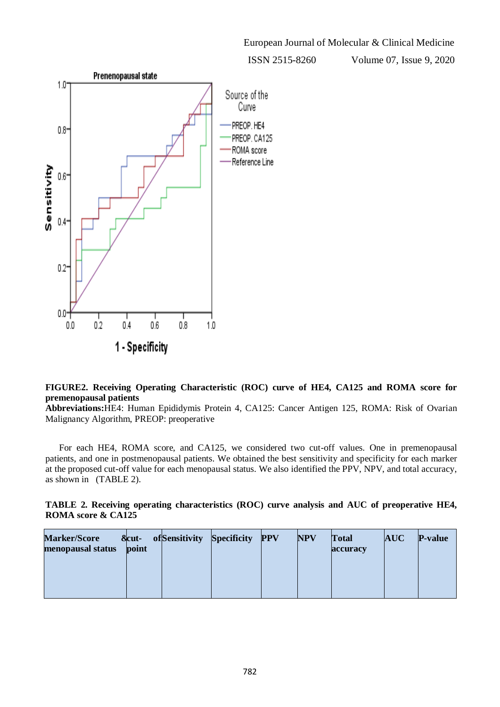ISSN 2515-8260 Volume 07, Issue 9, 2020



# <span id="page-5-0"></span>**FIGURE2. Receiving Operating Characteristic (ROC) curve of HE4, CA125 and ROMA score for premenopausal patients**

**Abbreviations:**HE4: Human Epididymis Protein 4, CA125: Cancer Antigen 125, ROMA: Risk of Ovarian Malignancy Algorithm, PREOP: preoperative

For each HE4, ROMA score, and CA125, we considered two cut-off values. One in premenopausal patients, and one in postmenopausal patients. We obtained the best sensitivity and specificity for each marker at the proposed cut-off value for each menopausal status. We also identified the PPV, NPV, and total accuracy, as shown in [\(TABLE 2\)](#page-5-1).

<span id="page-5-1"></span>

| TABLE 2. Receiving operating characteristics (ROC) curve analysis and AUC of preoperative HE4, |  |  |
|------------------------------------------------------------------------------------------------|--|--|
| <b>ROMA</b> score & CA125                                                                      |  |  |

| <b>Marker/Score</b><br>menopausal status | &cut-<br>point | ofSensitivity | <b>Specificity</b> | <b>PPV</b> | <b>NPV</b> | <b>Total</b><br>accuracy | <b>AUC</b> | <b>P-value</b> |
|------------------------------------------|----------------|---------------|--------------------|------------|------------|--------------------------|------------|----------------|
|                                          |                |               |                    |            |            |                          |            |                |
|                                          |                |               |                    |            |            |                          |            |                |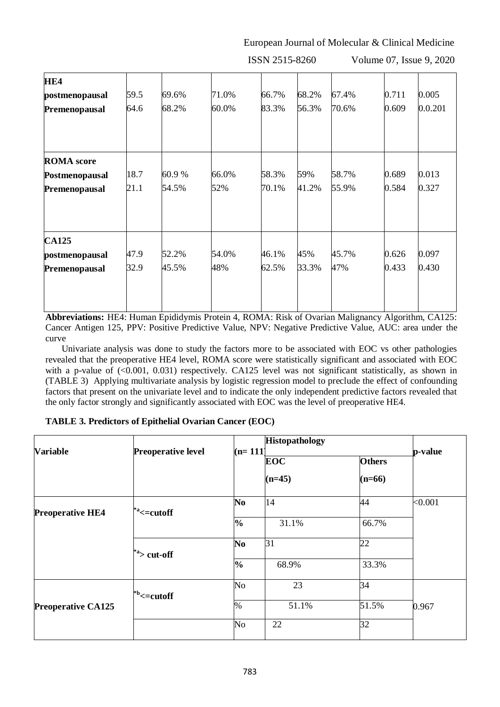ISSN 2515-8260 Volume 07, Issue 9, 2020

| HE4               |      |       |       |       |       |       |       |         |
|-------------------|------|-------|-------|-------|-------|-------|-------|---------|
| postmenopausal    | 59.5 | 69.6% | 71.0% | 66.7% | 68.2% | 67.4% | 0.711 | 0.005   |
| Premenopausal     | 64.6 | 68.2% | 60.0% | 83.3% | 56.3% | 70.6% | 0.609 | 0.0.201 |
|                   |      |       |       |       |       |       |       |         |
| <b>ROMA</b> score |      |       |       |       |       |       |       |         |
| Postmenopausal    | 18.7 | 60.9% | 66.0% | 58.3% | 59%   | 58.7% | 0.689 | 0.013   |
| Premenopausal     | 21.1 | 54.5% | 52%   | 70.1% | 41.2% | 55.9% | 0.584 | 0.327   |
| <b>CA125</b>      |      |       |       |       |       |       |       |         |
| postmenopausal    | 47.9 | 52.2% | 54.0% | 46.1% | 45%   | 45.7% | 0.626 | 0.097   |
| Premenopausal     | 32.9 | 45.5% | 48%   | 62.5% | 33.3% | 47%   | 0.433 | 0.430   |
|                   |      |       |       |       |       |       |       |         |

**Abbreviations:** HE4: Human Epididymis Protein 4, ROMA: Risk of Ovarian Malignancy Algorithm, CA125: Cancer Antigen 125, PPV: Positive Predictive Value, NPV: Negative Predictive Value, AUC: area under the curve

 Univariate analysis was done to study the factors more to be associated with EOC vs other pathologies revealed that the preoperative HE4 level, ROMA score were statistically significant and associated with EOC with a p-value of (<0.001, 0.031) respectively. CA125 level was not significant statistically, as shown in [\(TABLE 3\)](#page-6-0) Applying multivariate analysis by logistic regression model to preclude the effect of confounding factors that present on the univariate level and to indicate the only independent predictive factors revealed that the only factor strongly and significantly associated with EOC was the level of preoperative HE4.

# <span id="page-6-0"></span>**TABLE 3. Predictors of Epithelial Ovarian Cancer (EOC)**

| <b>Variable</b>           |                                      |               | <b>Histopathology</b> |               |         |
|---------------------------|--------------------------------------|---------------|-----------------------|---------------|---------|
|                           | <b>Preoperative level</b>            | $(n=111)$     | <b>EOC</b>            | <b>Others</b> | p-value |
|                           |                                      |               | $(n=45)$              | $(n=66)$      |         |
| <b>Preoperative HE4</b>   | $\overline{\ }^*$ = cutoff           | No            | 14                    | 44            | < 0.001 |
|                           |                                      | $\frac{0}{0}$ | 31.1%                 | 66.7%         |         |
|                           | $^*$ <sup>2</sup> cut-off            | No            | 31                    | 22            |         |
|                           |                                      | $\frac{1}{2}$ | 68.9%                 | 33.3%         |         |
|                           | $\overline{\ }^{\text{b}}$ <= cutoff | No            | 23                    | 34            |         |
| <b>Preoperative CA125</b> |                                      | $\%$          | 51.1%                 | 51.5%         | 0.967   |
|                           |                                      | $\rm No$      | 22                    | 32            |         |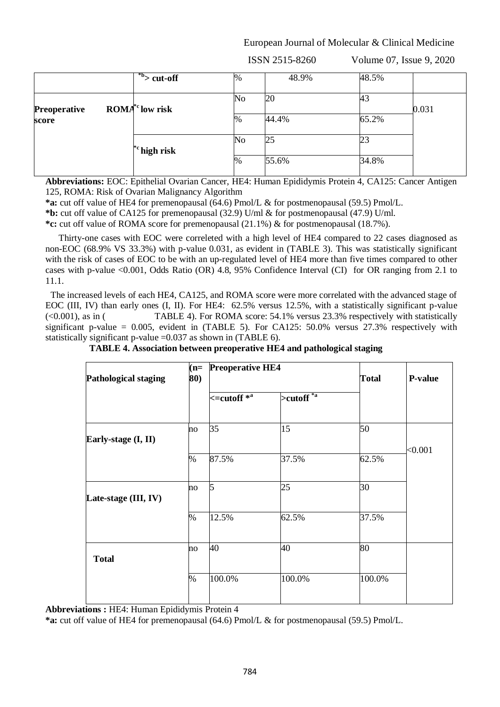ISSN 2515-8260 Volume 07, Issue 9, 2020

|                     | $\frac{b}{b}$ cut-off    | $\%$ | 48.9% | 48.5% |       |
|---------------------|--------------------------|------|-------|-------|-------|
| <b>Preoperative</b> | $\text{ROMA}^*$ low risk | No   | 20    | 43    | 0.031 |
| score               |                          | $\%$ | 44.4% | 65.2% |       |
|                     | $\rm ^*c$ high risk      | No   | 25    | 23    |       |
|                     |                          | $\%$ | 55.6% | 34.8% |       |

**Abbreviations:** EOC: Epithelial Ovarian Cancer, HE4: Human Epididymis Protein 4, CA125: Cancer Antigen 125, ROMA: Risk of Ovarian Malignancy Algorithm

**\*a:** cut off value of HE4 for premenopausal (64.6) Pmol/L & for postmenopausal (59.5) Pmol/L.

**\*b:** cut off value of CA125 for premenopausal (32.9) U/ml & for postmenopausal (47.9) U/ml.

**\*c:** cut off value of ROMA score for premenopausal (21.1%) & for postmenopausal (18.7%).

 Thirty-one cases with EOC were correleted with a high level of HE4 compared to 22 cases diagnosed as non-EOC (68.9% VS 33.3%) with p-value 0.031, as evident in [\(TABLE 3\)](#page-6-0). This was statistically significant with the risk of cases of EOC to be with an up-regulated level of HE4 more than five times compared to other cases with p-value <0.001, Odds Ratio (OR) 4.8, 95% Confidence Interval (CI) for OR ranging from 2.1 to 11.1.

The increased levels of each HE4, CA125, and ROMA score were more correlated with the advanced stage of EOC (III, IV) than early ones (I, II). For HE4: 62.5% versus 12.5%, with a statistically significant p-value (<0.001), as in [\( TABLE](#page-7-0) 4). For ROMA score: 54.1% versus 23.3% respectively with statistically significant p-value =  $0.005$ , evident in [\(TABLE 5\)](#page-8-0). For CA125: 50.0% versus 27.3% respectively with statistically significant p-value =0.037 as shown in [\(TABLE 6\)](#page-8-1).

<span id="page-7-0"></span>

| $(n=$<br>80) |                      |                       | <b>Total</b>            | <b>P-value</b> |
|--------------|----------------------|-----------------------|-------------------------|----------------|
|              | $\le$ = cutoff $*^a$ | $>$ cutoff $^{*_{a}}$ |                         |                |
| no           | 35                   | 15                    | 50                      |                |
| $\%$         | 87.5%                | 37.5%                 | 62.5%                   | < 0.001        |
| no           | 5                    | 25                    | 30                      |                |
| $\%$         | 12.5%                | 62.5%                 | 37.5%                   |                |
| no           | 40                   | 40                    | 80                      |                |
| %            | 100.0%               | 100.0%                | 100.0%                  |                |
|              |                      |                       | <b>Preoperative HE4</b> |                |

 **TABLE 4. Association between preoperative HE4 and pathological staging**

**Abbreviations :** HE4: Human Epididymis Protein 4

**\*a:** cut off value of HE4 for premenopausal (64.6) Pmol/L & for postmenopausal (59.5) Pmol/L.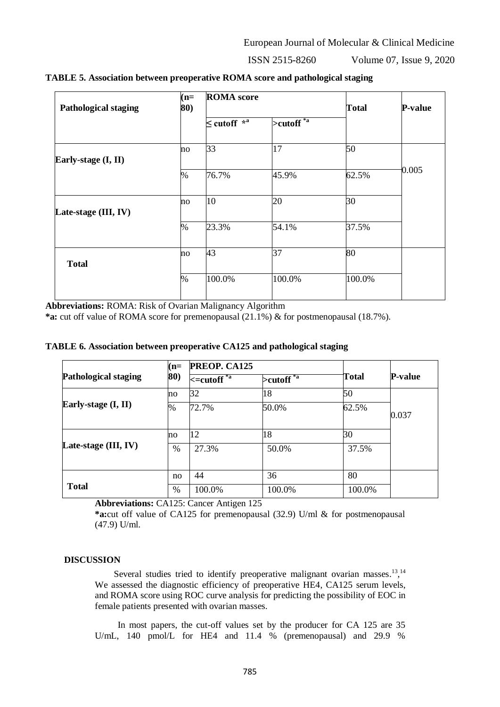ISSN 2515-8260

| Volume 07, Issue 9, 2020 |  |  |  |
|--------------------------|--|--|--|
|--------------------------|--|--|--|

| <b>Pathological staging</b> | $(n=$<br>80) | <b>ROMA</b> score   |                                   | <b>Total</b> | <b>P-value</b> |  |
|-----------------------------|--------------|---------------------|-----------------------------------|--------------|----------------|--|
|                             |              | $\leq$ cutoff $*^a$ | $>$ cutoff $\overline{f}^{*_{a}}$ |              |                |  |
| Early-stage (I, II)         | no           | 33                  | 17                                | 50           |                |  |
|                             | $\%$         | 76.7%               | 45.9%                             | 62.5%        | 0.005          |  |
| Late-stage (III, IV)        | no           | 10                  | 20                                | 30           |                |  |
|                             | $\%$         | 23.3%               | 54.1%                             | 37.5%        |                |  |
| <b>Total</b>                | no           | 43                  | 37                                | 80           |                |  |
|                             | $\%$         | 100.0%              | 100.0%                            | 100.0%       |                |  |

<span id="page-8-0"></span>**TABLE 5. Association between preoperative ROMA score and pathological staging**

**Abbreviations:** ROMA: Risk of Ovarian Malignancy Algorithm

**\*a:** cut off value of ROMA score for premenopausal (21.1%) & for postmenopausal (18.7%).

<span id="page-8-1"></span>

|  |  | TABLE 6. Association between preoperative CA125 and pathological staging |
|--|--|--------------------------------------------------------------------------|
|  |  |                                                                          |

| <b>Pathological staging</b> | $(n=$        | PREOP. CA125                   |                                           |        |                |
|-----------------------------|--------------|--------------------------------|-------------------------------------------|--------|----------------|
|                             | 80)          | $\kappa$ =cutoff <sup>*a</sup> | $\triangleright$ cutoff $\overline{f^*a}$ | Total  | <b>P-value</b> |
|                             | $\mathbf{n}$ | 32                             | 18                                        | 50     |                |
| Early-stage $(I, II)$       | %            | 72.7%                          | 50.0%                                     | 62.5%  | 0.037          |
|                             | $\mathbf{n}$ | 12                             | 18                                        | 30     |                |
| Late-stage (III, IV)        | $\%$         | 27.3%                          | 50.0%                                     | 37.5%  |                |
| <b>Total</b>                | no           | 44                             | 36                                        | 80     |                |
|                             | $\%$         | 100.0%                         | 100.0%                                    | 100.0% |                |

**Abbreviations:** CA125: Cancer Antigen 125

**\*a:**cut off value of CA125 for premenopausal (32.9) U/ml & for postmenopausal (47.9) U/ml.

#### **DISCUSSION**

Several studies tried to identify preoperative malignant ovarian masses.<sup>13, 14</sup> We assessed the diagnostic efficiency of preoperative HE4, CA125 serum levels, and ROMA score using ROC curve analysis for predicting the possibility of EOC in female patients presented with ovarian masses.

 In most papers, the cut-off values set by the producer for CA 125 are 35 U/mL, 140 pmol/L for HE4 and 11.4 % (premenopausal) and 29.9 %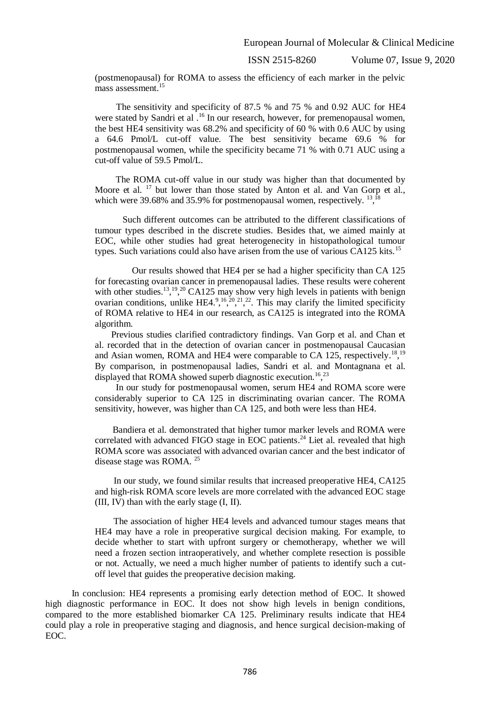(postmenopausal) for ROMA to assess the efficiency of each marker in the pelvic mass assessment. 15

 The sensitivity and specificity of 87.5 % and 75 % and 0.92 AUC for HE4 were stated by Sandri et al .<sup>16</sup> In our research, however, for premenopausal women, the best HE4 sensitivity was 68.2% and specificity of 60 % with 0.6 AUC by using a 64.6 Pmol/L cut-off value. The best sensitivity became 69.6 % for postmenopausal women, while the specificity became 71 % with 0.71 AUC using a cut-off value of 59.5 Pmol/L.

 The ROMA cut-off value in our study was higher than that documented by Moore et al. <sup>17</sup> but lower than those stated by Anton et al. and Van Gorp et al., which were 39.68% and 35.9% for postmenopausal women, respectively.  $^{13}$ ,  $^{18}$ 

 Such different outcomes can be attributed to the different classifications of tumour types described in the discrete studies. Besides that, we aimed mainly at EOC, while other studies had great heterogenecity in histopathological tumour types. Such variations could also have arisen from the use of various CA125 kits.<sup>15</sup>

 Our results showed that HE4 per se had a higher specificity than CA 125 for forecasting ovarian cancer in premenopausal ladies. These results were coherent with other studies.<sup>13, 19,20</sup> CA125 may show very high levels in patients with benign ovarian conditions, unlike HE4.<sup>9</sup>, <sup>16</sup>, <sup>20</sup>, <sup>21</sup>, <sup>22</sup>. This may clarify the limited specificity of ROMA relative to HE4 in our research, as CA125 is integrated into the ROMA algorithm.

 Previous studies clarified contradictory findings. Van Gorp et al. and Chan et al. recorded that in the detection of ovarian cancer in postmenopausal Caucasian and Asian women, ROMA and HE4 were comparable to CA 125, respectively.<sup>18, 19</sup> By comparison, in postmenopausal ladies, Sandri et al. and Montagnana et al. displayed that ROMA showed superb diagnostic execution.<sup>16</sup>,<sup>23</sup>

 In our study for postmenopausal women, serum HE4 and ROMA score were considerably superior to CA 125 in discriminating ovarian cancer. The ROMA sensitivity, however, was higher than CA 125, and both were less than HE4.

 Bandiera et al. demonstrated that higher tumor marker levels and ROMA were correlated with advanced FIGO stage in EOC patients.<sup>24</sup> Liet al. revealed that high ROMA score was associated with advanced ovarian cancer and the best indicator of disease stage was ROMA. <sup>25</sup>

 In our study, we found similar results that increased preoperative HE4, CA125 and high-risk ROMA score levels are more correlated with the advanced EOC stage (III, IV) than with the early stage (I, II).

 The association of higher HE4 levels and advanced tumour stages means that HE4 may have a role in preoperative surgical decision making. For example, to decide whether to start with upfront surgery or chemotherapy, whether we will need a frozen section intraoperatively, and whether complete resection is possible or not. Actually, we need a much higher number of patients to identify such a cutoff level that guides the preoperative decision making.

 In conclusion: HE4 represents a promising early detection method of EOC. It showed high diagnostic performance in EOC. It does not show high levels in benign conditions, compared to the more established biomarker CA 125. Preliminary results indicate that HE4 could play a role in preoperative staging and diagnosis, and hence surgical decision-making of EOC.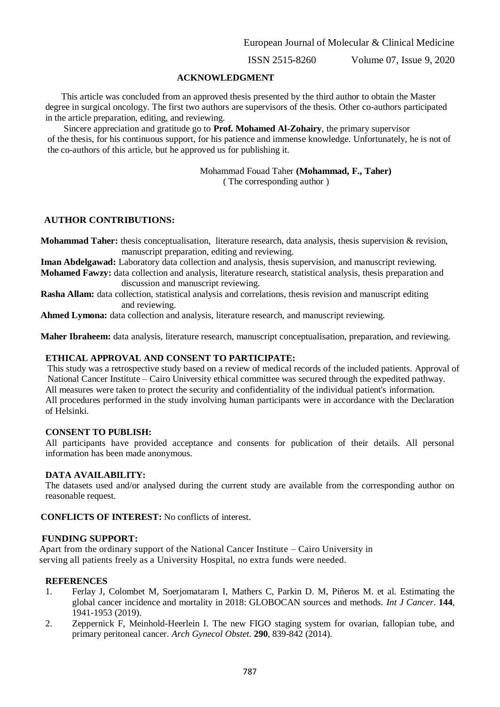#### **ACKNOWLEDGMENT**

 This article was concluded from an approved thesis presented by the third author to obtain the Master degree in surgical oncology. The first two authors are supervisors of the thesis. Other co-authors participated in the article preparation, editing, and reviewing.

 Sincere appreciation and gratitude go to **Prof. Mohamed Al-Zohairy**, the primary supervisor of the thesis, for his continuous support, for his patience and immense knowledge. Unfortunately, he is not of the co-authors of this article, but he approved us for publishing it.

> Mohammad Fouad Taher **(Mohammad, F., Taher)** ( The corresponding author )

## **AUTHOR CONTRIBUTIONS:**

**Mohammad Taher:** thesis conceptualisation, literature research, data analysis, thesis supervision & revision, manuscript preparation, editing and reviewing.

 **Iman Abdelgawad:** Laboratory data collection and analysis, thesis supervision, and manuscript reviewing. **Mohamed Fawzy:** data collection and analysis, literature research, statistical analysis, thesis preparation and discussion and manuscript reviewing.

 **Rasha Allam:** data collection, statistical analysis and correlations, thesis revision and manuscript editing and reviewing.

**Ahmed Lymona:** data collection and analysis, literature research, and manuscript reviewing.

 **Maher Ibraheem:** data analysis, literature research, manuscript conceptualisation, preparation, and reviewing.

#### **ETHICAL APPROVAL AND CONSENT TO PARTICIPATE:**

 This study was a retrospective study based on a review of medical records of the included patients. Approval of National Cancer Institute – Cairo University ethical committee was secured through the expedited pathway. All measures were taken to protect the security and confidentiality of the individual patient's information. All procedures performed in the study involving human participants were in accordance with the Declaration of Helsinki.

#### **CONSENT TO PUBLISH:**

All participants have provided acceptance and consents for publication of their details. All personal information has been made anonymous.

#### **DATA AVAILABILITY:**

The datasets used and/or analysed during the current study are available from the corresponding author on reasonable request.

 **CONFLICTS OF INTEREST:** No conflicts of interest.

#### **FUNDING SUPPORT:**

 Apart from the ordinary support of the National Cancer Institute – Cairo University in serving all patients freely as a University Hospital, no extra funds were needed.

#### **REFERENCES**

- 1. Ferlay J, Colombet M, Soerjomataram I, Mathers C, Parkin D. M, Piñeros M. et al. Estimating the global cancer incidence and mortality in 2018: GLOBOCAN sources and methods. *Int J Cancer*. **144**, 1941-1953 (2019).
- 2. Zeppernick F, Meinhold-Heerlein I. The new FIGO staging system for ovarian, fallopian tube, and primary peritoneal cancer. *Arch Gynecol Obstet*. **290**, 839-842 (2014).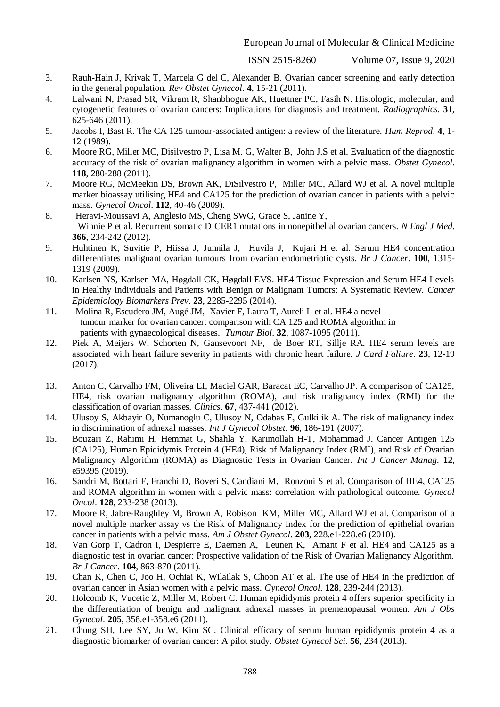- 3. Rauh-Hain J, Krivak T, Marcela G del C, Alexander B. Ovarian cancer screening and early detection in the general population. *Rev Obstet Gynecol*. **4**, 15-21 (2011).
- 4. Lalwani N, Prasad SR, Vikram R, Shanbhogue AK, Huettner PC, Fasih N. Histologic, molecular, and cytogenetic features of ovarian cancers: Implications for diagnosis and treatment. *Radiographics*. **31**, 625-646 (2011).
- 5. Jacobs I, Bast R. The CA 125 tumour-associated antigen: a review of the literature. *Hum Reprod*. **4**, 1- 12 (1989).
- 6. Moore RG, Miller MC, Disilvestro P, Lisa M. G, Walter B, John J.S et al. Evaluation of the diagnostic accuracy of the risk of ovarian malignancy algorithm in women with a pelvic mass. *Obstet Gynecol*. **118**, 280-288 (2011).
- 7. Moore RG, McMeekin DS, Brown AK, DiSilvestro P, Miller MC, Allard WJ et al. A novel multiple marker bioassay utilising HE4 and CA125 for the prediction of ovarian cancer in patients with a pelvic mass. *Gynecol Oncol*. **112**, 40-46 (2009).
- 8. Heravi-Moussavi A, Anglesio MS, Cheng SWG, Grace S, Janine Y, Winnie P et al. Recurrent somatic DICER1 mutations in nonepithelial ovarian cancers. *N Engl J Med*. **366**, 234-242 (2012).
- 9. Huhtinen K, Suvitie P, Hiissa J, Junnila J, Huvila J, Kujari H et al. Serum HE4 concentration differentiates malignant ovarian tumours from ovarian endometriotic cysts. *Br J Cancer*. **100**, 1315- 1319 (2009).
- 10. Karlsen NS, Karlsen MA, Høgdall CK, Høgdall EVS. HE4 Tissue Expression and Serum HE4 Levels in Healthy Individuals and Patients with Benign or Malignant Tumors: A Systematic Review. *Cancer Epidemiology Biomarkers Prev*. **23**, 2285-2295 (2014).
- 11. Molina R, Escudero JM, Augé JM, Xavier F, Laura T, Aureli L et al. HE4 a novel tumour marker for ovarian cancer: comparison with CA 125 and ROMA algorithm in patients with gynaecological diseases. *Tumour Biol*. **32**, 1087-1095 (2011).
- 12. Piek A, Meijers W, Schorten N, Gansevoort NF, de Boer RT, Sillje RA. HE4 serum levels are associated with heart failure severity in patients with chronic heart failure. *J Card Faliure*. **23**, 12-19 (2017).
- 13. Anton C, Carvalho FM, Oliveira EI, Maciel GAR, Baracat EC, Carvalho JP. A comparison of CA125, HE4, risk ovarian malignancy algorithm (ROMA), and risk malignancy index (RMI) for the classification of ovarian masses. *Clinics*. **67**, 437-441 (2012).
- 14. Ulusoy S, Akbayir O, Numanoglu C, Ulusoy N, Odabas E, Gulkilik A. The risk of malignancy index in discrimination of adnexal masses. *Int J Gynecol Obstet*. **96**, 186-191 (2007).
- 15. Bouzari Z, Rahimi H, Hemmat G, Shahla Y, Karimollah H-T, Mohammad J. Cancer Antigen 125 (CA125), Human Epididymis Protein 4 (HE4), Risk of Malignancy Index (RMI), and Risk of Ovarian Malignancy Algorithm (ROMA) as Diagnostic Tests in Ovarian Cancer. *Int J Cancer Manag*. **12**, e59395 (2019).
- 16. Sandri M, Bottari F, Franchi D, Boveri S, Candiani M, Ronzoni S et al. Comparison of HE4, CA125 and ROMA algorithm in women with a pelvic mass: correlation with pathological outcome. *Gynecol Oncol*. **128**, 233-238 (2013).
- 17. Moore R, Jabre-Raughley M, Brown A, Robison KM, Miller MC, Allard WJ et al. Comparison of a novel multiple marker assay vs the Risk of Malignancy Index for the prediction of epithelial ovarian cancer in patients with a pelvic mass. *Am J Obstet Gynecol*. **203**, 228.e1-228.e6 (2010).
- 18. Van Gorp T, Cadron I, Despierre E, Daemen A, Leunen K, Amant F et al. HE4 and CA125 as a diagnostic test in ovarian cancer: Prospective validation of the Risk of Ovarian Malignancy Algorithm. *Br J Cancer*. **104**, 863-870 (2011).
- 19. Chan K, Chen C, Joo H, Ochiai K, Wilailak S, Choon AT et al. The use of HE4 in the prediction of ovarian cancer in Asian women with a pelvic mass. *Gynecol Oncol*. **128**, 239-244 (2013).
- 20. Holcomb K, Vucetic Z, Miller M, Robert C. Human epididymis protein 4 offers superior specificity in the differentiation of benign and malignant adnexal masses in premenopausal women. *Am J Obs Gynecol*. **205**, 358.e1-358.e6 (2011).
- 21. Chung SH, Lee SY, Ju W, Kim SC. Clinical efficacy of serum human epididymis protein 4 as a diagnostic biomarker of ovarian cancer: A pilot study. *Obstet Gynecol Sci*. **56**, 234 (2013).